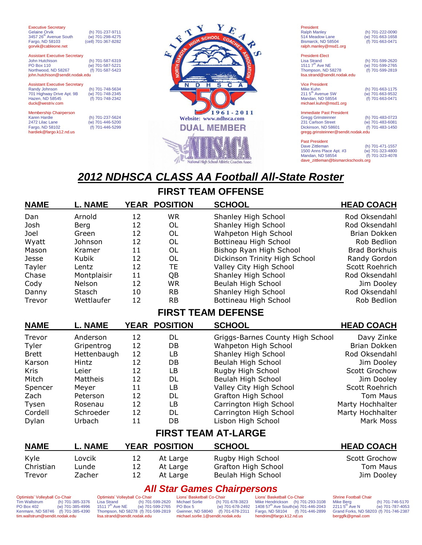**Executive Secretary**<br>Gelaine Orvik (h) 701-237-9711<br>(w) 701-298-4275  $3457 26<sup>th</sup>$  Avenue South Fargo, ND 58103 (cell) 701-367-8282 gorvik@cableone.net Assistant Executive Secretary

John Hutchison (h) 701-587-6319  $(w)$  701-587-5221<br>(f) 701-587-5423 Northwood, ND 58267 (f) 701-587-5423 john.hutchison@sendit.nodak.edu

Assistant Executive Secretary<br>Randy Johnson

701 Highway Drive Apt. 9B (w) 701-748-2345 Hazen, ND 58545 (f) 701-748-2342 duck@westriv.com

Membership Chairperson<br>Karen Hardie Karen Hardie (h) 701-237-5624 2472 Lilac Lane (w) 701-446-5200 Fargo, ND 58102 (f) 701-446-5299 hardiek@fargo.k12.nd.us

(h) 701-748-5634<br>(w) 701-748-2345<br>(f) 701-748-2342



President Ralph Manley (h) 701-222-0090 514 Meadow Lane (w) 701-663-1658 Bismarck, ND 58504 (f) 701-663-0471 ralph.manley@msd1.org President-Elect Lisa Strand (h) 701-599-2620<br>1511 7<sup>th</sup> Ave NE (w) 701-599-2765  $(W)$  701-599-2765<br>(f) 701-599-2819 Thompson, ND 58278 (f) 701-599-2819 lisa.strand@sendit.nodak.edu

Vice President<br>Mike Kuhn (h) 701-663-1175<br>(w) 701-663-9532 211 5th Avenue SW (w) 701-663-9532 Mandan, ND 58554 (f) 701-663-0471 michael.kuhn@msd1.org Immediate Past President Gregg Grinsteinner<br>231 Carlson Street (h) 701-483-0723<br>(w) 701-483-6081<br>(f) 701-483-1450

Dickinson, ND 58601 gregg.grinsteinner@sendit.nodak.edu

Past President<br>Dave Zittleman (h) 701-471-1557<br>(w) 701-323-4800 1500 Anns Place Apt. #3 (w) 701-323-4800<br>Mandan, ND 58554 (f) 701-323-4078 Mandan, ND 58554 dave\_zittleman@bismarckschools.org

# *2012 NDHSCA CLASS AA Football All-State Roster*

# **FIRST TEAM OFFENSE**

| <b>NAME</b>                | L. NAME        | <b>YEAR</b> | <b>POSITION</b> | <b>SCHOOL</b>                    | <b>HEAD COACH</b>    |  |  |  |
|----------------------------|----------------|-------------|-----------------|----------------------------------|----------------------|--|--|--|
| Dan                        | Arnold         | 12          | <b>WR</b>       | Shanley High School              | Rod Oksendahl        |  |  |  |
| Josh                       | Berg           | 12          | <b>OL</b>       | Shanley High School              | Rod Oksendahl        |  |  |  |
| Joel                       | Green          | 12          | OL              | Wahpeton High School             | Brian Dokken         |  |  |  |
| Wyatt                      | Johnson        | 12          | <b>OL</b>       | Bottineau High School            | Rob Bedlion          |  |  |  |
| Mason                      | Kramer         | 11          | OL              | Bishop Ryan High School          | <b>Brad Borkhuis</b> |  |  |  |
| Jesse                      | Kubik          | 12          | <b>OL</b>       | Dickinson Trinity High School    | Randy Gordon         |  |  |  |
| Tayler                     | Lentz          | 12          | <b>TE</b>       | Valley City High School          | Scott Roehrich       |  |  |  |
| Chase                      | Montplaisir    | 11          | QB              | Shanley High School              | Rod Oksendahl        |  |  |  |
| Cody                       | Nelson         | 12          | <b>WR</b>       | Beulah High School               | Jim Dooley           |  |  |  |
| Danny                      | Stasch         | 10          | <b>RB</b>       | Shanley High School              | Rod Oksendahl        |  |  |  |
| Trevor                     | Wettlaufer     | 12          | <b>RB</b>       | Bottineau High School            | Rob Bedlion          |  |  |  |
| <b>FIRST TEAM DEFENSE</b>  |                |             |                 |                                  |                      |  |  |  |
| <b>NAME</b>                | <b>L. NAME</b> | <b>YEAR</b> | <b>POSITION</b> | <b>SCHOOL</b>                    | <b>HEAD COACH</b>    |  |  |  |
| Trevor                     | Anderson       | 12          | <b>DL</b>       | Griggs-Barnes County High School | Davy Zinke           |  |  |  |
| Tyler                      | Gripentrog     | 12          | DB              | Wahpeton High School             | Brian Dokken         |  |  |  |
| <b>Brett</b>               | Hettenbaugh    | 12          | LB              | Shanley High School              | Rod Oksendahl        |  |  |  |
| Karson                     | Hintz          | 12          | DB              | Beulah High School               | Jim Dooley           |  |  |  |
| <b>Kris</b>                | Leier          | 12          | <b>LB</b>       | Rugby High School                | Scott Grochow        |  |  |  |
| Mitch                      | Mattheis       | 12          | DL              | Beulah High School               | Jim Dooley           |  |  |  |
| Spencer                    | Meyer          | 11          | <b>LB</b>       | Valley City High School          | Scott Roehrich       |  |  |  |
| Zach                       | Peterson       | 12          | DL              | Grafton High School              | Tom Maus             |  |  |  |
| Tysen                      | Rosenau        | 12          | LB              | Carrington High School           | Marty Hochhalter     |  |  |  |
| Cordell                    | Schroeder      | 12          | DL              | Carrington High School           | Marty Hochhalter     |  |  |  |
| Dylan                      | Urbach         | 11          | DB              | Lisbon High School               | Mark Moss            |  |  |  |
| <b>FIRST TEAM AT-LARGE</b> |                |             |                 |                                  |                      |  |  |  |
| <b>NAME</b>                | <b>L. NAME</b> | <b>YEAR</b> | <b>POSITION</b> | <b>SCHOOL</b>                    | <b>HEAD COACH</b>    |  |  |  |
| Kyle                       | Lovcik         | 12          | At Large        | Rugby High School                | Scott Grochow        |  |  |  |
| Christian                  | Lunde          | 12          | At Large        | Grafton High School              | <b>Tom Maus</b>      |  |  |  |
| Trevor                     | Zacher         | 12          | At Large        | Beulah High School               | Jim Dooley           |  |  |  |

# *All Star Games Chairpersons*

Optimists' Volleyball Co-Chair<br>Tim Wallstrum (h) 701-Tim Wallstrum (h) 701-385-3376<br>PO Box 402 (w) 701-385-4996  $(w)$  701-385-4996 Kenmare, ND 58746 (f) 701-385-4390 tim.wallstrum@sendit.nodak.edu

Optimists' Volleyball Co-Chair<br>Lisa Strand (h) 701-Lisa Strand (h) 701-599-2620<br>1511 7<sup>th</sup> Ave NE (w) 701-599-2765  $(w)$  701-599-2765 Thompson, ND 58278 (f) 701-599-2819 lisa.strand@sendit.nodak.edu

Lions' Basketball Co-Chair<br>Michael Sorlie (h) 7 Michael Sorlie (h) 701-678-3823<br>PO Box 5 (w) 701-678-2492  $(w)$  701-678-2492<br>(f) 701-678-2311 **Gwinner, ND 58040** michael.sorlie.1@sendit.nodak.edu

Lions' Basketball Co-Chair Mike Hendrickson (h) 701-293-3108 1408 57<sup>th</sup> Ave South(w) 701-446-2043<br>Fargo, ND 58104 (f) 701-446-2899<br>hendrim@fargo.k12.nd.us

Shrine Football Chair<br>Mike Berg<br>2211 5<sup>th</sup> Ave N

(h) 701-746-5170  $(w)$  701-787-4053 Grand Forks, ND 58203 (f) 701-746-2387 berggfk@gmail.com